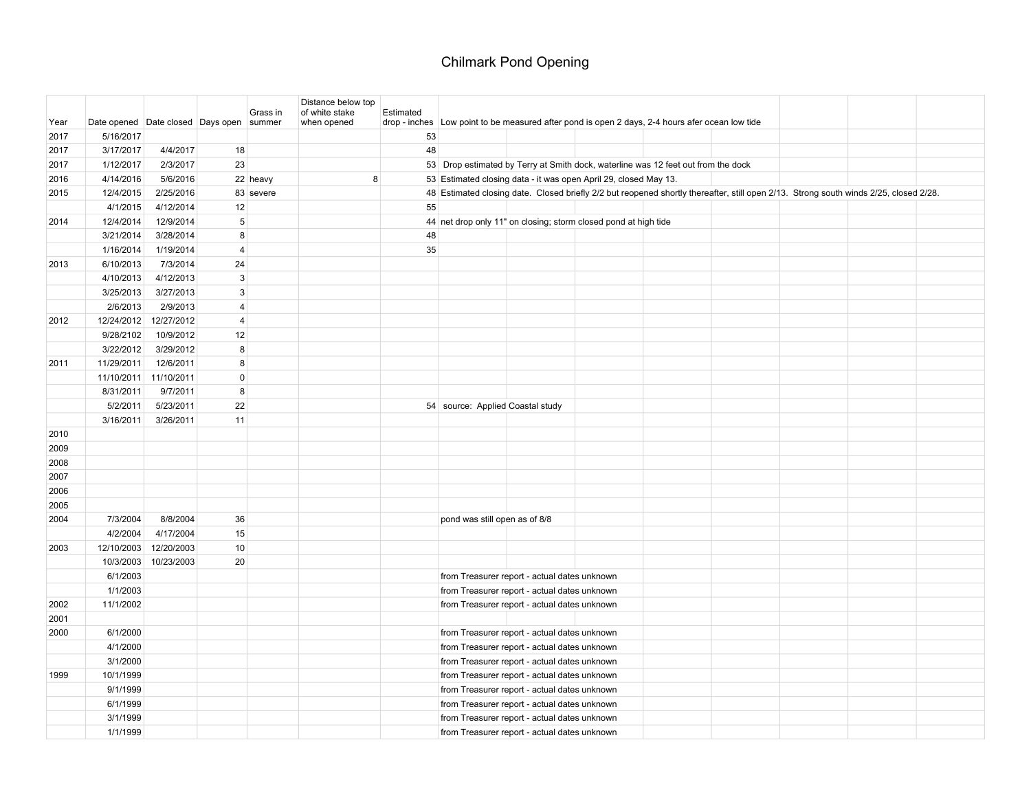## Chilmark Pond Opening

| Year | Date opened Date closed Days open summer |                       |                | Grass in  | Distance below top<br>of white stake<br>when opened | Estimated | drop - inches Low point to be measured after pond is open 2 days, 2-4 hours afer ocean low tide                                       |
|------|------------------------------------------|-----------------------|----------------|-----------|-----------------------------------------------------|-----------|---------------------------------------------------------------------------------------------------------------------------------------|
| 2017 | 5/16/2017                                |                       |                |           |                                                     |           | 53                                                                                                                                    |
| 2017 | 3/17/2017                                | 4/4/2017              | 18             |           |                                                     |           | 48                                                                                                                                    |
| 2017 | 1/12/2017                                | 2/3/2017              | 23             |           |                                                     |           | 53 Drop estimated by Terry at Smith dock, waterline was 12 feet out from the dock                                                     |
| 2016 | 4/14/2016                                | 5/6/2016              |                | 22 heavy  | 8                                                   |           | 53 Estimated closing data - it was open April 29, closed May 13.                                                                      |
| 2015 | 12/4/2015                                | 2/25/2016             |                | 83 severe |                                                     |           | 48 Estimated closing date. Closed briefly 2/2 but reopened shortly thereafter, still open 2/13. Strong south winds 2/25, closed 2/28. |
|      | 4/1/2015                                 | 4/12/2014             | 12             |           |                                                     |           | 55                                                                                                                                    |
| 2014 | 12/4/2014                                | 12/9/2014             | 5              |           |                                                     |           | 44 net drop only 11" on closing; storm closed pond at high tide                                                                       |
|      | 3/21/2014                                | 3/28/2014             | 8              |           |                                                     |           | 48                                                                                                                                    |
|      | 1/16/2014                                | 1/19/2014             | $\overline{4}$ |           |                                                     |           | 35                                                                                                                                    |
| 2013 | 6/10/2013                                | 7/3/2014              | 24             |           |                                                     |           |                                                                                                                                       |
|      | 4/10/2013                                | 4/12/2013             | 3              |           |                                                     |           |                                                                                                                                       |
|      | 3/25/2013                                | 3/27/2013             | 3              |           |                                                     |           |                                                                                                                                       |
|      | 2/6/2013                                 | 2/9/2013              | $\overline{4}$ |           |                                                     |           |                                                                                                                                       |
| 2012 | 12/24/2012                               | 12/27/2012            | $\overline{4}$ |           |                                                     |           |                                                                                                                                       |
|      | 9/28/2102                                | 10/9/2012             | 12             |           |                                                     |           |                                                                                                                                       |
|      | 3/22/2012                                | 3/29/2012             | 8              |           |                                                     |           |                                                                                                                                       |
| 2011 | 11/29/2011                               | 12/6/2011             | 8              |           |                                                     |           |                                                                                                                                       |
|      |                                          | 11/10/2011 11/10/2011 | $\mathbf 0$    |           |                                                     |           |                                                                                                                                       |
|      | 8/31/2011                                | 9/7/2011              | 8              |           |                                                     |           |                                                                                                                                       |
|      | 5/2/2011                                 | 5/23/2011             | 22             |           |                                                     |           | 54 source: Applied Coastal study                                                                                                      |
|      | 3/16/2011                                | 3/26/2011             | 11             |           |                                                     |           |                                                                                                                                       |
| 2010 |                                          |                       |                |           |                                                     |           |                                                                                                                                       |
| 2009 |                                          |                       |                |           |                                                     |           |                                                                                                                                       |
| 2008 |                                          |                       |                |           |                                                     |           |                                                                                                                                       |
| 2007 |                                          |                       |                |           |                                                     |           |                                                                                                                                       |
| 2006 |                                          |                       |                |           |                                                     |           |                                                                                                                                       |
| 2005 |                                          |                       |                |           |                                                     |           |                                                                                                                                       |
| 2004 | 7/3/2004                                 | 8/8/2004              | 36             |           |                                                     |           | pond was still open as of 8/8                                                                                                         |
|      | 4/2/2004                                 | 4/17/2004             | 15             |           |                                                     |           |                                                                                                                                       |
| 2003 | 12/10/2003                               | 12/20/2003            | 10             |           |                                                     |           |                                                                                                                                       |
|      | 10/3/2003                                | 10/23/2003            | 20             |           |                                                     |           |                                                                                                                                       |
|      | 6/1/2003                                 |                       |                |           |                                                     |           | from Treasurer report - actual dates unknown                                                                                          |
|      | 1/1/2003                                 |                       |                |           |                                                     |           | from Treasurer report - actual dates unknown                                                                                          |
| 2002 | 11/1/2002                                |                       |                |           |                                                     |           | from Treasurer report - actual dates unknown                                                                                          |
| 2001 |                                          |                       |                |           |                                                     |           |                                                                                                                                       |
| 2000 | 6/1/2000                                 |                       |                |           |                                                     |           | from Treasurer report - actual dates unknown                                                                                          |
|      | 4/1/2000                                 |                       |                |           |                                                     |           | from Treasurer report - actual dates unknown                                                                                          |
|      | 3/1/2000                                 |                       |                |           |                                                     |           | from Treasurer report - actual dates unknown                                                                                          |
| 1999 | 10/1/1999                                |                       |                |           |                                                     |           | from Treasurer report - actual dates unknown                                                                                          |
|      | 9/1/1999                                 |                       |                |           |                                                     |           | from Treasurer report - actual dates unknown                                                                                          |
|      | 6/1/1999                                 |                       |                |           |                                                     |           | from Treasurer report - actual dates unknown                                                                                          |
|      | 3/1/1999                                 |                       |                |           |                                                     |           | from Treasurer report - actual dates unknown                                                                                          |
|      | 1/1/1999                                 |                       |                |           |                                                     |           | from Treasurer report - actual dates unknown                                                                                          |